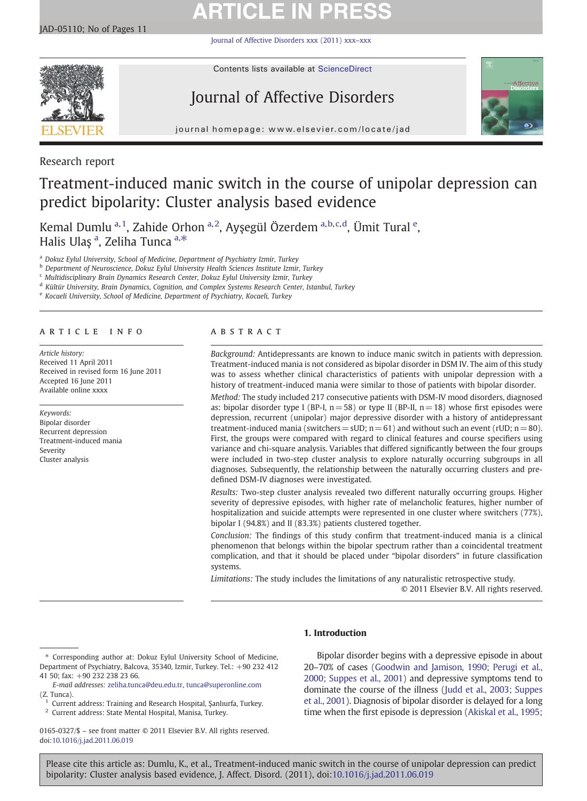# **ARTICLE IN PRESS**

[Journal of Affective Disorders xxx \(2011\) xxx](http://dx.doi.org/10.1016/j.jad.2011.06.019)–xxx



Contents lists available at [ScienceDirect](http://www.sciencedirect.com/science/journal/01650327)

# Journal of Affective Disorders



journal homepage: www.elsevier.com/locate/jad

Research report

## Treatment-induced manic switch in the course of unipolar depression can predict bipolarity: Cluster analysis based evidence

Kemal Dumlu <sup>a, 1</sup>, Zahide Orhon <sup>a, 2</sup>, Ayşegül Özerdem <sup>a, b, c, d</sup>, Ümit Tural <sup>e</sup>, Halis Ulaş <sup>a</sup>, Zeliha Tunca <sup>a,∗</sup>

<sup>a</sup> Dokuz Eylul University, School of Medicine, Department of Psychiatry Izmir, Turkey

<sup>b</sup> Department of Neuroscience, Dokuz Eylul University Health Sciences Institute Izmir, Turkey

<sup>c</sup> Multidisciplinary Brain Dynamics Research Center, Dokuz Eylul University Izmir, Turkey

<sup>d</sup> Kültür University, Brain Dynamics, Cognition, and Complex Systems Research Center, Istanbul, Turkey

<sup>e</sup> Kocaeli University, School of Medicine, Department of Psychiatry, Kocaeli, Turkey

#### article info abstract

Article history: Received 11 April 2011 Received in revised form 16 June 2011 Accepted 16 June 2011 Available online xxxx

Keywords: Bipolar disorder Recurrent depression Treatment-induced mania Severity Cluster analysis

Background: Antidepressants are known to induce manic switch in patients with depression. Treatment-induced mania is not considered as bipolar disorder in DSM IV. The aim of this study was to assess whether clinical characteristics of patients with unipolar depression with a history of treatment-induced mania were similar to those of patients with bipolar disorder.

Method: The study included 217 consecutive patients with DSM-IV mood disorders, diagnosed as: bipolar disorder type I (BP-I,  $n = 58$ ) or type II (BP-II,  $n = 18$ ) whose first episodes were depression, recurrent (unipolar) major depressive disorder with a history of antidepressant treatment-induced mania (switchers =  $SUD$ ; n = 61) and without such an event (rUD; n = 80). First, the groups were compared with regard to clinical features and course specifiers using variance and chi-square analysis. Variables that differed significantly between the four groups were included in two-step cluster analysis to explore naturally occurring subgroups in all diagnoses. Subsequently, the relationship between the naturally occurring clusters and predefined DSM-IV diagnoses were investigated.

Results: Two-step cluster analysis revealed two different naturally occurring groups. Higher severity of depressive episodes, with higher rate of melancholic features, higher number of hospitalization and suicide attempts were represented in one cluster where switchers (77%), bipolar I (94.8%) and II (83.3%) patients clustered together.

Conclusion: The findings of this study confirm that treatment-induced mania is a clinical phenomenon that belongs within the bipolar spectrum rather than a coincidental treatment complication, and that it should be placed under "bipolar disorders" in future classification systems.

Limitations: The study includes the limitations of any naturalistic retrospective study. © 2011 Elsevier B.V. All rights reserved.

## 1. Introduction

0165-0327/\$ – see front matter © 2011 Elsevier B.V. All rights reserved. doi[:10.1016/j.jad.2011.06.019](http://dx.doi.org/10.1016/j.jad.2011.06.019)

Bipolar disorder begins with a depressive episode in about 20–70% of cases ([Goodwin and Jamison, 1990; Perugi et al.,](#page-9-0) [2000; Suppes et al., 2001\)](#page-9-0) and depressive symptoms tend to dominate the course of the illness ([Judd et al., 2003; Suppes](#page-9-0) [et al., 2001\)](#page-9-0). Diagnosis of bipolar disorder is delayed for a long time when the first episode is depression [\(Akiskal et al., 1995;](#page-8-0)

<sup>⁎</sup> Corresponding author at: Dokuz Eylul University School of Medicine, Department of Psychiatry, Balcova, 35340, Izmir, Turkey. Tel.: +90 232 412 41 50; fax: +90 232 238 23 66.

E-mail addresses: [zeliha.tunca@deu.edu.tr](mailto:zeliha.tunca@deu.edu.tr), [tunca@superonline.com](mailto:tunca@superonline.com) (Z. Tunca).

 $1$  Current address: Training and Research Hospital, Şanlıurfa, Turkey.

<sup>2</sup> Current address: State Mental Hospital, Manisa, Turkey.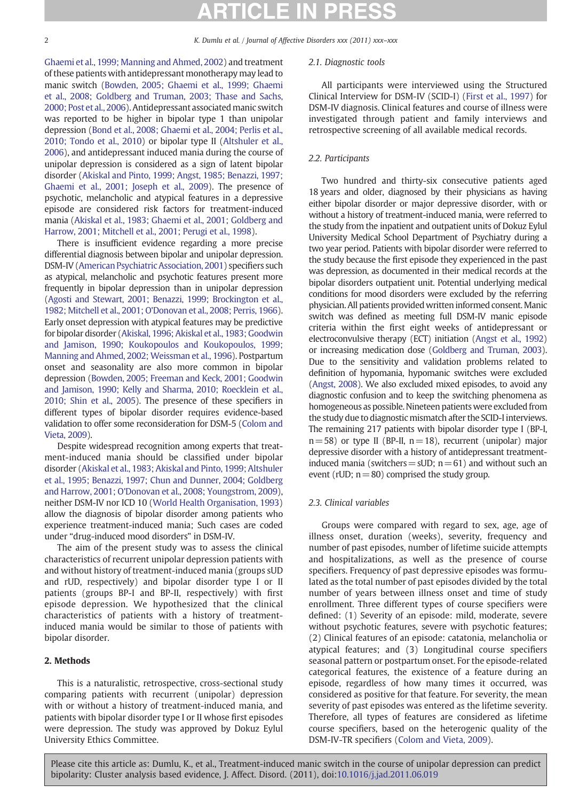2 K. Dumlu et al. / Journal of Affective Disorders xxx (2011) xxx-xxx

[Ghaemi et al., 1999; Manning and Ahmed, 2002\)](#page-8-0) and treatment of these patients with antidepressant monotherapy may lead to manic switch [\(Bowden, 2005; Ghaemi et al., 1999; Ghaemi](#page-8-0) [et al., 2008; Goldberg and Truman, 2003; Thase and Sachs,](#page-8-0) [2000; Post et al., 2006](#page-8-0)). Antidepressant associated manic switch was reported to be higher in bipolar type 1 than unipolar depression [\(Bond et al., 2008; Ghaemi et al., 2004; Perlis et al.,](#page-8-0) [2010; Tondo et al., 2010](#page-8-0)) or bipolar type II [\(Altshuler et al.,](#page-8-0) [2006](#page-8-0)), and antidepressant induced mania during the course of unipolar depression is considered as a sign of latent bipolar disorder [\(Akiskal and Pinto, 1999; Angst, 1985; Benazzi, 1997;](#page-8-0) [Ghaemi et al., 2001; Joseph et al., 2009](#page-8-0)). The presence of psychotic, melancholic and atypical features in a depressive episode are considered risk factors for treatment-induced mania [\(Akiskal et al., 1983; Ghaemi et al., 2001; Goldberg and](#page-8-0) [Harrow, 2001; Mitchell et al., 2001; Perugi et al., 1998](#page-8-0)).

There is insufficient evidence regarding a more precise differential diagnosis between bipolar and unipolar depression. DSM-IV [\(American Psychiatric Association, 2001](#page-8-0)) specifiers such as atypical, melancholic and psychotic features present more frequently in bipolar depression than in unipolar depression ([Agosti and Stewart, 2001; Benazzi, 1999; Brockington et al.,](#page-8-0) [1982; Mitchell et al., 2001; O'Donovan et al., 2008; Perris, 1966](#page-8-0)). Early onset depression with atypical features may be predictive for bipolar disorder ([Akiskal, 1996; Akiskal et al., 1983; Goodwin](#page-8-0) [and Jamison, 1990; Koukopoulos and Koukopoulos, 1999;](#page-8-0) [Manning and Ahmed, 2002; Weissman et al., 1996\)](#page-8-0). Postpartum onset and seasonality are also more common in bipolar depression ([Bowden, 2005; Freeman and Keck, 2001; Goodwin](#page-8-0) [and Jamison, 1990; Kelly and Sharma, 2010; Roecklein et al.,](#page-8-0) [2010; Shin et al., 2005\)](#page-8-0). The presence of these specifiers in different types of bipolar disorder requires evidence-based validation to offer some reconsideration for DSM-5 ([Colom and](#page-9-0) [Vieta, 2009\)](#page-9-0).

Despite widespread recognition among experts that treatment-induced mania should be classified under bipolar disorder ([Akiskal et al., 1983; Akiskal and Pinto, 1999; Altshuler](#page-8-0) [et al., 1995; Benazzi, 1997; Chun and Dunner, 2004; Goldberg](#page-8-0) [and Harrow, 2001; O'Donovan et al., 2008; Youngstrom, 2009](#page-8-0)), neither DSM-IV nor ICD 10 ([World Health Organisation, 1993\)](#page-9-0) allow the diagnosis of bipolar disorder among patients who experience treatment-induced mania; Such cases are coded under "drug-induced mood disorders" in DSM-IV.

The aim of the present study was to assess the clinical characteristics of recurrent unipolar depression patients with and without history of treatment-induced mania (groups sUD and rUD, respectively) and bipolar disorder type I or II patients (groups BP-I and BP-II, respectively) with first episode depression. We hypothesized that the clinical characteristics of patients with a history of treatmentinduced mania would be similar to those of patients with bipolar disorder.

## 2. Methods

This is a naturalistic, retrospective, cross-sectional study comparing patients with recurrent (unipolar) depression with or without a history of treatment-induced mania, and patients with bipolar disorder type I or II whose first episodes were depression. The study was approved by Dokuz Eylul University Ethics Committee.

#### 2.1. Diagnostic tools

All participants were interviewed using the Structured Clinical Interview for DSM-IV (SCID-I) [\(First et al., 1997](#page-9-0)) for DSM-IV diagnosis. Clinical features and course of illness were investigated through patient and family interviews and retrospective screening of all available medical records.

## 2.2. Participants

Two hundred and thirty-six consecutive patients aged 18 years and older, diagnosed by their physicians as having either bipolar disorder or major depressive disorder, with or without a history of treatment-induced mania, were referred to the study from the inpatient and outpatient units of Dokuz Eylul University Medical School Department of Psychiatry during a two year period. Patients with bipolar disorder were referred to the study because the first episode they experienced in the past was depression, as documented in their medical records at the bipolar disorders outpatient unit. Potential underlying medical conditions for mood disorders were excluded by the referring physician. All patients provided written informed consent. Manic switch was defined as meeting full DSM-IV manic episode criteria within the first eight weeks of antidepressant or electroconvulsive therapy (ECT) initiation [\(Angst et al., 1992](#page-8-0)) or increasing medication dose [\(Goldberg and Truman, 2003](#page-9-0)). Due to the sensitivity and validation problems related to definition of hypomania, hypomanic switches were excluded ([Angst, 2008](#page-8-0)). We also excluded mixed episodes, to avoid any diagnostic confusion and to keep the switching phenomena as homogeneous as possible. Nineteen patients were excluded from the study due to diagnostic mismatch after the SCID-I interviews. The remaining 217 patients with bipolar disorder type I (BP-I,  $n=58$ ) or type II (BP-II,  $n=18$ ), recurrent (unipolar) major depressive disorder with a history of antidepressant treatmentinduced mania (switchers  $=$  sUD; n  $=$  61) and without such an event (rUD;  $n=80$ ) comprised the study group.

### 2.3. Clinical variables

Groups were compared with regard to sex, age, age of illness onset, duration (weeks), severity, frequency and number of past episodes, number of lifetime suicide attempts and hospitalizations, as well as the presence of course specifiers. Frequency of past depressive episodes was formulated as the total number of past episodes divided by the total number of years between illness onset and time of study enrollment. Three different types of course specifiers were defined: (1) Severity of an episode: mild, moderate, severe without psychotic features, severe with psychotic features; (2) Clinical features of an episode: catatonia, melancholia or atypical features; and (3) Longitudinal course specifiers seasonal pattern or postpartum onset. For the episode-related categorical features, the existence of a feature during an episode, regardless of how many times it occurred, was considered as positive for that feature. For severity, the mean severity of past episodes was entered as the lifetime severity. Therefore, all types of features are considered as lifetime course specifiers, based on the heterogenic quality of the DSM-IV-TR specifiers [\(Colom and Vieta, 2009\)](#page-9-0).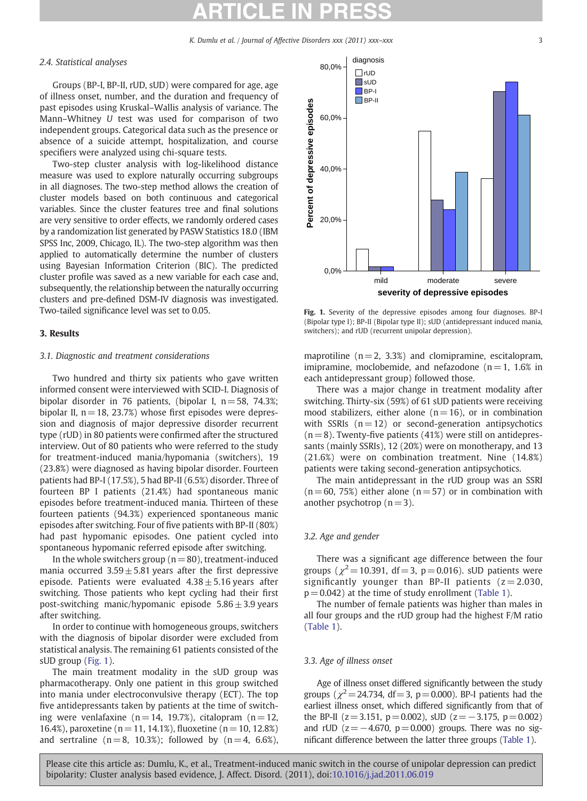K. Dumlu et al. / Journal of Affective Disorders xxx (2011) xxx–xxx 3 3

#### <span id="page-2-0"></span>2.4. Statistical analyses

Groups (BP-I, BP-II, rUD, sUD) were compared for age, age of illness onset, number, and the duration and frequency of past episodes using Kruskal–Wallis analysis of variance. The Mann–Whitney U test was used for comparison of two independent groups. Categorical data such as the presence or absence of a suicide attempt, hospitalization, and course specifiers were analyzed using chi-square tests.

Two-step cluster analysis with log-likelihood distance measure was used to explore naturally occurring subgroups in all diagnoses. The two-step method allows the creation of cluster models based on both continuous and categorical variables. Since the cluster features tree and final solutions are very sensitive to order effects, we randomly ordered cases by a randomization list generated by PASW Statistics 18.0 (IBM SPSS Inc, 2009, Chicago, IL). The two-step algorithm was then applied to automatically determine the number of clusters using Bayesian Information Criterion (BIC). The predicted cluster profile was saved as a new variable for each case and, subsequently, the relationship between the naturally occurring clusters and pre-defined DSM-IV diagnosis was investigated. Two-tailed significance level was set to 0.05.

### 3. Results

### 3.1. Diagnostic and treatment considerations

Two hundred and thirty six patients who gave written informed consent were interviewed with SCID-I. Diagnosis of bipolar disorder in 76 patients, (bipolar I, n= 58, 74.3%; bipolar II,  $n = 18$ , 23.7%) whose first episodes were depression and diagnosis of major depressive disorder recurrent type (rUD) in 80 patients were confirmed after the structured interview. Out of 80 patients who were referred to the study for treatment-induced mania/hypomania (switchers), 19 (23.8%) were diagnosed as having bipolar disorder. Fourteen patients had BP-I (17.5%), 5 had BP-II (6.5%) disorder. Three of fourteen BP I patients (21.4%) had spontaneous manic episodes before treatment-induced mania. Thirteen of these fourteen patients (94.3%) experienced spontaneous manic episodes after switching. Four of five patients with BP-II (80%) had past hypomanic episodes. One patient cycled into spontaneous hypomanic referred episode after switching.

In the whole switchers group ( $n=80$ ), treatment-induced mania occurred  $3.59 \pm 5.81$  years after the first depressive episode. Patients were evaluated  $4.38 \pm 5.16$  years after switching. Those patients who kept cycling had their first post-switching manic/hypomanic episode  $5.86 \pm 3.9$  years after switching.

In order to continue with homogeneous groups, switchers with the diagnosis of bipolar disorder were excluded from statistical analysis. The remaining 61 patients consisted of the sUD group (Fig. 1).

The main treatment modality in the sUD group was pharmacotherapy. Only one patient in this group switched into mania under electroconvulsive therapy (ECT). The top five antidepressants taken by patients at the time of switching were venlafaxine  $(n= 14, 19.7%)$ , citalopram  $(n= 12, 19.7%)$ 16.4%), paroxetine ( $n = 11, 14.1%$ ), fluoxetine ( $n = 10, 12.8%$ ) and sertraline  $(n= 8, 10.3%)$ ; followed by  $(n= 4, 6.6%).$ 



Fig. 1. Severity of the depressive episodes among four diagnoses. BP-I (Bipolar type I); BP-II (Bipolar type II); sUD (antidepressant induced mania, switchers); and rUD (recurrent unipolar depression).

maprotiline  $(n = 2, 3.3%)$  and clomipramine, escitalopram, imipramine, moclobemide, and nefazodone  $(n=1, 1.6\%)$  in each antidepressant group) followed those.

There was a major change in treatment modality after switching. Thirty-six (59%) of 61 sUD patients were receiving mood stabilizers, either alone  $(n= 16)$ , or in combination with SSRIs  $(n= 12)$  or second-generation antipsychotics  $(n= 8)$ . Twenty-five patients (41%) were still on antidepressants (mainly SSRIs), 12 (20%) were on monotherapy, and 13 (21.6%) were on combination treatment. Nine (14.8%) patients were taking second-generation antipsychotics.

The main antidepressant in the rUD group was an SSRI  $(n= 60, 75%)$  either alone  $(n= 57)$  or in combination with another psychotrop  $(n=3)$ .

### 3.2. Age and gender

There was a significant age difference between the four groups ( $\chi^2$  = 10.391, df = 3, p = 0.016). sUD patients were significantly younger than BP-II patients  $(z= 2.030,$  $p = 0.042$ ) at the time of study enrollment [\(Table 1\)](#page-3-0).

The number of female patients was higher than males in all four groups and the rUD group had the highest F/M ratio ([Table 1\)](#page-3-0).

#### 3.3. Age of illness onset

Age of illness onset differed significantly between the study groups ( $\chi^2$  = 24.734, df = 3, p = 0.000). BP-I patients had the earliest illness onset, which differed significantly from that of the BP-II  $(z=3.151, p=0.002)$ , sUD  $(z=-3.175, p=0.002)$ and rUD ( $z = -4.670$ ,  $p = 0.000$ ) groups. There was no significant difference between the latter three groups ([Table 1](#page-3-0)).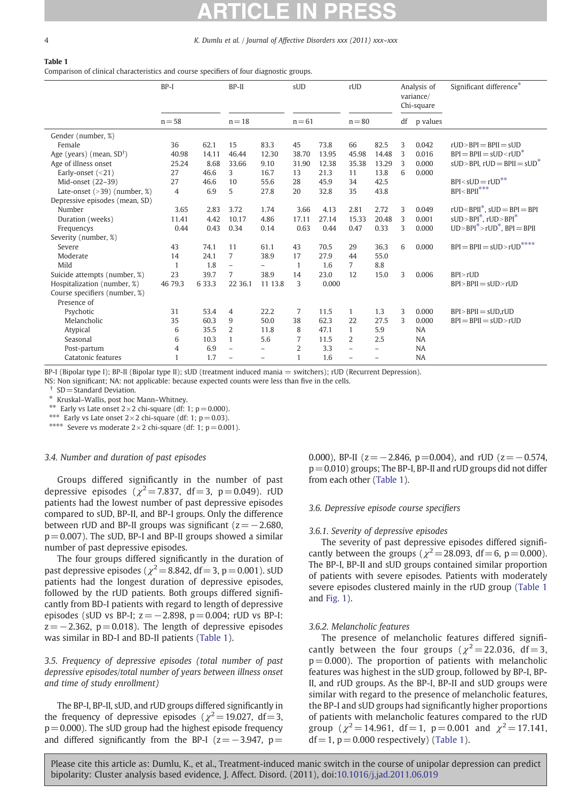#### <span id="page-3-0"></span>4 K. Dumlu et al. / Journal of Affective Disorders xxx (2011) xxx–xxx

#### Table 1

Comparison of clinical characteristics and course specifiers of four diagnostic groups.

|                                     | $BP-I$         |       | $BP-II$                  |                          | sUD             |       | rUD            |                          |    | Analysis of<br>variance/<br>Chi-square | Significant difference*                                    |
|-------------------------------------|----------------|-------|--------------------------|--------------------------|-----------------|-------|----------------|--------------------------|----|----------------------------------------|------------------------------------------------------------|
|                                     | $n = 58$       |       | $n = 18$                 |                          | $n = 61$        |       | $n = 80$       |                          | df | p values                               |                                                            |
| Gender (number, %)                  |                |       |                          |                          |                 |       |                |                          |    |                                        |                                                            |
| Female                              | 36             | 62.1  | 15                       | 83.3                     | 45              | 73.8  | 66             | 82.5                     | 3  | 0.042                                  | $rUD > BPI = BPII = sUD$                                   |
| Age (years) (mean, $SD^{\dagger}$ ) | 40.98          | 14.11 | 46.44                    | 12.30                    | 38.70           | 13.95 | 45.98          | 14.48                    | 3  | 0.016                                  | $BPI = BPII = sLID < rLID^*$                               |
| Age of illness onset                | 25.24          | 8.68  | 33.66                    | 9.10                     | 31.90           | 12.38 | 35.38          | 13.29                    | 3  | 0.000                                  | $sUD > BPI$ , $rUD = BPII = sUD^*$                         |
| Early-onset $(<21)$                 | 27             | 46.6  | 3                        | 16.7                     | 13              | 21.3  | 11             | 13.8                     | 6  | 0.000                                  |                                                            |
| Mid-onset (22-39)                   | 27             | 46.6  | 10                       | 55.6                     | 28              | 45.9  | 34             | 42.5                     |    |                                        | $BPI < sUD = rUD$ **                                       |
| Late-onset $(>39)$ (number, %)      | $\overline{4}$ | 6.9   | 5                        | 27.8                     | 20              | 32.8  | 35             | 43.8                     |    |                                        | $\mathsf{BPI}{<}\mathsf{BPI}^{***}$                        |
| Depressive episodes (mean, SD)      |                |       |                          |                          |                 |       |                |                          |    |                                        |                                                            |
| Number                              | 3.65           | 2.83  | 3.72                     | 1.74                     | 3.66            | 4.13  | 2.81           | 2.72                     | 3  | 0.049                                  | $rUD < BPII^*$ , $sUD = BPI = BPI$                         |
| Duration (weeks)                    | 11.41          | 4.42  | 10.17                    | 4.86                     | 17.11           | 27.14 | 15.33          | 20.48                    | 3  | 0.001                                  | $sUD > BPI^*$ , $rUD > BPI^*$                              |
| Frequencys                          | 0.44           | 0.43  | 0.34                     | 0.14                     | 0.63            | 0.44  | 0.47           | 0.33                     | 3  | 0.000                                  | $UD > BPI^* > rUD^*$ , $BPI = BPII$                        |
| Severity (number, %)                |                |       |                          |                          |                 |       |                |                          |    |                                        |                                                            |
| Severe                              | 43             | 74.1  | 11                       | 61.1                     | 43              | 70.5  | 29             | 36.3                     | 6  | 0.000                                  | $\text{BPI} = \text{BPII} = \text{sUD} > \text{rUD}^{***}$ |
| Moderate                            | 14             | 24.1  | $\overline{7}$           | 38.9                     | 17              | 27.9  | 44             | 55.0                     |    |                                        |                                                            |
| Mild                                | 1              | 1.8   | $\overline{\phantom{0}}$ |                          | $\mathbf{1}$    | 1.6   | $\overline{7}$ | 8.8                      |    |                                        |                                                            |
| Suicide attempts (number, %)        | 23             | 39.7  | $\overline{7}$           | 38.9                     | 14              | 23.0  | 12             | 15.0                     | 3  | 0.006                                  | $BP$ > $rUD$                                               |
| Hospitalization (number, %)         | 46 79.3        | 633.3 | 22 36.1                  | 11 13.8                  | 3               | 0.000 |                |                          |    |                                        | $BPI > BPII = SUD > rUD$                                   |
| Course specifiers (number, %)       |                |       |                          |                          |                 |       |                |                          |    |                                        |                                                            |
| Presence of                         |                |       |                          |                          |                 |       |                |                          |    |                                        |                                                            |
| Psychotic                           | 31             | 53.4  | $\overline{4}$           | 22.2                     | $7\phantom{.0}$ | 11.5  | 1              | 1.3                      | 3  | 0.000                                  | $BPI > BPII = sUD.rUD$                                     |
| Melancholic                         | 35             | 60.3  | 9                        | 50.0                     | 38              | 62.3  | 22             | 27.5                     | 3  | 0.000                                  | $BPI = BPII = SUD > rUD$                                   |
| Atypical                            | 6              | 35.5  | $\overline{2}$           | 11.8                     | 8               | 47.1  | 1              | 5.9                      |    | <b>NA</b>                              |                                                            |
| Seasonal                            | 6              | 10.3  | $\mathbf{1}$             | 5.6                      | 7               | 11.5  | $\overline{2}$ | 2.5                      |    | <b>NA</b>                              |                                                            |
| Post-partum                         | $\overline{4}$ | 6.9   | $\overline{a}$           | $\overline{\phantom{0}}$ | $\overline{2}$  | 3.3   | $\overline{a}$ | $\overline{\phantom{0}}$ |    | <b>NA</b>                              |                                                            |
| Catatonic features                  | 1              | 1.7   |                          |                          | $\mathbf{1}$    | 1.6   |                |                          |    | <b>NA</b>                              |                                                            |

BP-I (Bipolar type I); BP-II (Bipolar type II); sUD (treatment induced mania = switchers); rUD (Recurrent Depression).

NS: Non significant; NA: not applicable: because expected counts were less than five in the cells.

 $SD = Standard$  Deviation.

⁎ Kruskal–Wallis, post hoc Mann–Whitney.

\*\* Early vs Late onset  $2 \times 2$  chi-square (df: 1; p= 0.000).

\*\*\* Early vs Late onset  $2 \times 2$  chi-square (df: 1;  $p = 0.03$ ).

\*\*\*\* Severe vs moderate  $2 \times 2$  chi-square (df: 1; p= 0.001).

#### 3.4. Number and duration of past episodes

Groups differed significantly in the number of past depressive episodes ( $\chi^2$  = 7.837, df = 3, p = 0.049). rUD patients had the lowest number of past depressive episodes compared to sUD, BP-II, and BP-I groups. Only the difference between rUD and BP-II groups was significant ( $z=-2.680$ ,  $p = 0.007$ ). The sUD, BP-I and BP-II groups showed a similar number of past depressive episodes.

The four groups differed significantly in the duration of past depressive episodes ( $\chi^2$  = 8.842, df = 3, p = 0.001). sUD patients had the longest duration of depressive episodes, followed by the rUD patients. Both groups differed significantly from BD-I patients with regard to length of depressive episodes (sUD vs BP-I;  $z = -2.898$ ,  $p = 0.004$ ; rUD vs BP-I:  $z=-2.362$ ,  $p= 0.018$ ). The length of depressive episodes was similar in BD-I and BD-II patients (Table 1).

3.5. Frequency of depressive episodes (total number of past depressive episodes/total number of years between illness onset and time of study enrollment)

The BP-I, BP-II, sUD, and rUD groups differed significantly in the frequency of depressive episodes ( $\chi^2$ =19.027, df=3,  $p=0.000$ ). The sUD group had the highest episode frequency and differed significantly from the BP-I ( $z=-3.947$ ,  $p=$ 

0.000), BP-II ( $z=-2.846$ ,  $p=0.004$ ), and rUD ( $z=-0.574$ ,  $p=0.010$ ) groups; The BP-I, BP-II and rUD groups did not differ from each other (Table 1).

#### 3.6. Depressive episode course specifiers

#### 3.6.1. Severity of depressive episodes

The severity of past depressive episodes differed significantly between the groups ( $\chi^2$  = 28.093, df = 6, p = 0.000). The BP-I, BP-II and sUD groups contained similar proportion of patients with severe episodes. Patients with moderately severe episodes clustered mainly in the rUD group (Table 1 and [Fig. 1\)](#page-2-0).

#### 3.6.2. Melancholic features

The presence of melancholic features differed significantly between the four groups ( $\chi^2$  = 22.036, df = 3,  $p = 0.000$ ). The proportion of patients with melancholic features was highest in the sUD group, followed by BP-I, BP-II, and rUD groups. As the BP-I, BP-II and sUD groups were similar with regard to the presence of melancholic features, the BP-I and sUD groups had significantly higher proportions of patients with melancholic features compared to the rUD group ( $\chi^2$  = 14.961, df = 1, p = 0.001 and  $\chi^2$  = 17.141,  $df = 1$ ,  $p = 0.000$  respectively) (Table 1).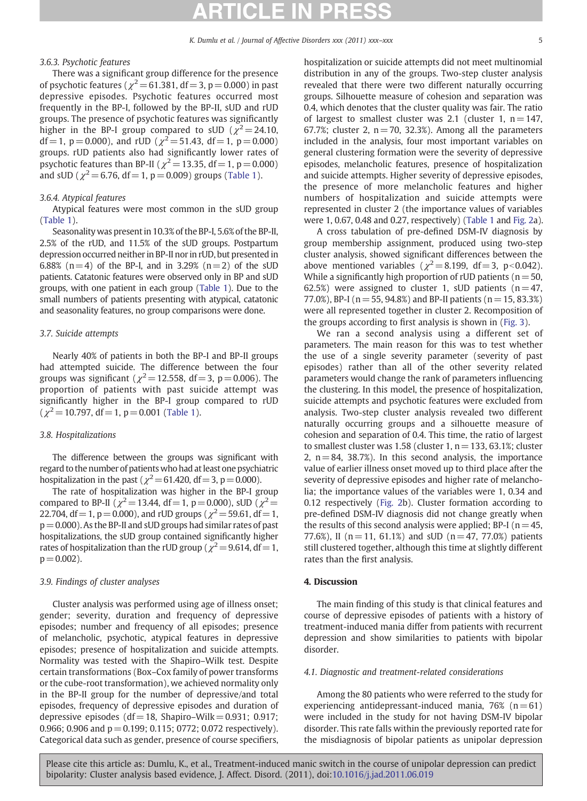### 3.6.3. Psychotic features

There was a significant group difference for the presence of psychotic features ( $\chi^2$  = 61.381, df = 3, p = 0.000) in past depressive episodes. Psychotic features occurred most frequently in the BP-I, followed by the BP-II, sUD and rUD groups. The presence of psychotic features was significantly higher in the BP-I group compared to sUD ( $\chi^2$  = 24.10, df = 1, p = 0.000), and rUD ( $\chi^2$  = 51.43, df = 1, p = 0.000) groups. rUD patients also had significantly lower rates of psychotic features than BP-II ( $\chi^2$  = 13.35, df = 1, p = 0.000) and sUD ( $\chi^2$  = 6.76, df = 1, p = 0.009) groups [\(Table 1](#page-3-0)).

### 3.6.4. Atypical features

Atypical features were most common in the sUD group [\(Table 1\)](#page-3-0).

Seasonality was present in 10.3% of the BP-I, 5.6% of the BP-II, 2.5% of the rUD, and 11.5% of the sUD groups. Postpartum depression occurred neither in BP-II nor in rUD, but presented in 6.88% (n=4) of the BP-I, and in 3.29% (n=2) of the sUD patients. Catatonic features were observed only in BP and sUD groups, with one patient in each group [\(Table 1](#page-3-0)). Due to the small numbers of patients presenting with atypical, catatonic and seasonality features, no group comparisons were done.

### 3.7. Suicide attempts

Nearly 40% of patients in both the BP-I and BP-II groups had attempted suicide. The difference between the four groups was significant ( $\chi^2$  = 12.558, df = 3, p = 0.006). The proportion of patients with past suicide attempt was significantly higher in the BP-I group compared to rUD  $(\chi^2 = 10.797, df = 1, p = 0.001$  ([Table 1](#page-3-0)).

### 3.8. Hospitalizations

The difference between the groups was significant with regard to the number of patients who had at least one psychiatric hospitalization in the past ( $\gamma^2$  = 61.420, df = 3, p = 0.000).

The rate of hospitalization was higher in the BP-I group compared to BP-II ( $\chi^2$  = 13.44, df = 1, p = 0.000), sUD ( $\chi^2$  = 22.704, df = 1, p = 0.000), and rUD groups ( $\chi^2$  = 59.61, df = 1,  $p=0.000$ ). As the BP-II and sUD groups had similar rates of past hospitalizations, the sUD group contained significantly higher rates of hospitalization than the rUD group ( $\chi^2$  = 9.614, df = 1,  $p = 0.002$ ).

#### 3.9. Findings of cluster analyses

Cluster analysis was performed using age of illness onset; gender; severity, duration and frequency of depressive episodes; number and frequency of all episodes; presence of melancholic, psychotic, atypical features in depressive episodes; presence of hospitalization and suicide attempts. Normality was tested with the Shapiro–Wilk test. Despite certain transformations (Box–Cox family of power transforms or the cube-root transformation), we achieved normality only in the BP-II group for the number of depressive/and total episodes, frequency of depressive episodes and duration of depressive episodes (df = 18, Shapiro–Wilk =  $0.931$ ; 0.917; 0.966; 0.906 and  $p = 0.199$ ; 0.115; 0772; 0.072 respectively). Categorical data such as gender, presence of course specifiers, hospitalization or suicide attempts did not meet multinomial distribution in any of the groups. Two-step cluster analysis revealed that there were two different naturally occurring groups. Silhouette measure of cohesion and separation was 0.4, which denotes that the cluster quality was fair. The ratio of largest to smallest cluster was 2.1 (cluster 1,  $n = 147$ , 67.7%; cluster 2,  $n = 70$ , 32.3%). Among all the parameters included in the analysis, four most important variables on general clustering formation were the severity of depressive episodes, melancholic features, presence of hospitalization and suicide attempts. Higher severity of depressive episodes, the presence of more melancholic features and higher numbers of hospitalization and suicide attempts were represented in cluster 2 (the importance values of variables were 1, 0.67, 0.48 and 0.27, respectively) ([Table 1](#page-3-0) and [Fig. 2a](#page-5-0)).

A cross tabulation of pre-defined DSM-IV diagnosis by group membership assignment, produced using two-step cluster analysis, showed significant differences between the above mentioned variables ( $\chi^2$  = 8.199, df = 3, p < 0.042). While a significantly high proportion of rUD patients ( $n = 50$ , 62.5%) were assigned to cluster 1, sUD patients  $(n=47,$ 77.0%), BP-I ( $n = 55$ , 94.8%) and BP-II patients ( $n = 15$ , 83.3%) were all represented together in cluster 2. Recomposition of the groups according to first analysis is shown in [\(Fig. 3](#page-6-0)).

We ran a second analysis using a different set of parameters. The main reason for this was to test whether the use of a single severity parameter (severity of past episodes) rather than all of the other severity related parameters would change the rank of parameters influencing the clustering. In this model, the presence of hospitalization, suicide attempts and psychotic features were excluded from analysis. Two-step cluster analysis revealed two different naturally occurring groups and a silhouette measure of cohesion and separation of 0.4. This time, the ratio of largest to smallest cluster was 1.58 (cluster  $1, n = 133, 63.1\%$ ; cluster 2,  $n = 84$ , 38.7%). In this second analysis, the importance value of earlier illness onset moved up to third place after the severity of depressive episodes and higher rate of melancholia; the importance values of the variables were 1, 0.34 and 0.12 respectively [\(Fig. 2](#page-5-0)b). Cluster formation according to pre-defined DSM-IV diagnosis did not change greatly when the results of this second analysis were applied; BP-I ( $n=45$ , 77.6%), II ( $n = 11$ , 61.1%) and sUD ( $n = 47$ , 77.0%) patients still clustered together, although this time at slightly different rates than the first analysis.

### 4. Discussion

The main finding of this study is that clinical features and course of depressive episodes of patients with a history of treatment-induced mania differ from patients with recurrent depression and show similarities to patients with bipolar disorder.

#### 4.1. Diagnostic and treatment-related considerations

Among the 80 patients who were referred to the study for experiencing antidepressant-induced mania,  $76%$  ( $n=61$ ) were included in the study for not having DSM-IV bipolar disorder. This rate falls within the previously reported rate for the misdiagnosis of bipolar patients as unipolar depression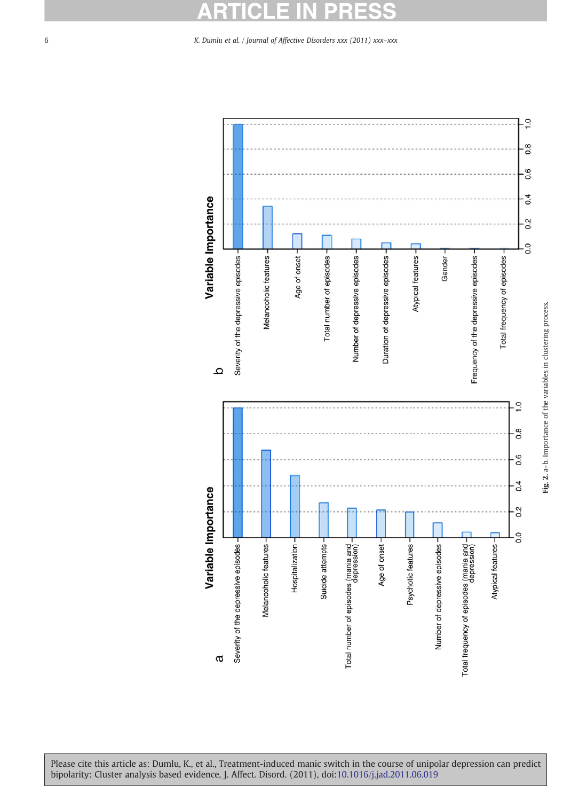#### ö E E Δ

### <span id="page-5-0"></span>6 K. Dumlu et al. / Journal of Affective Disorders xxx (2011) xxx–xxx

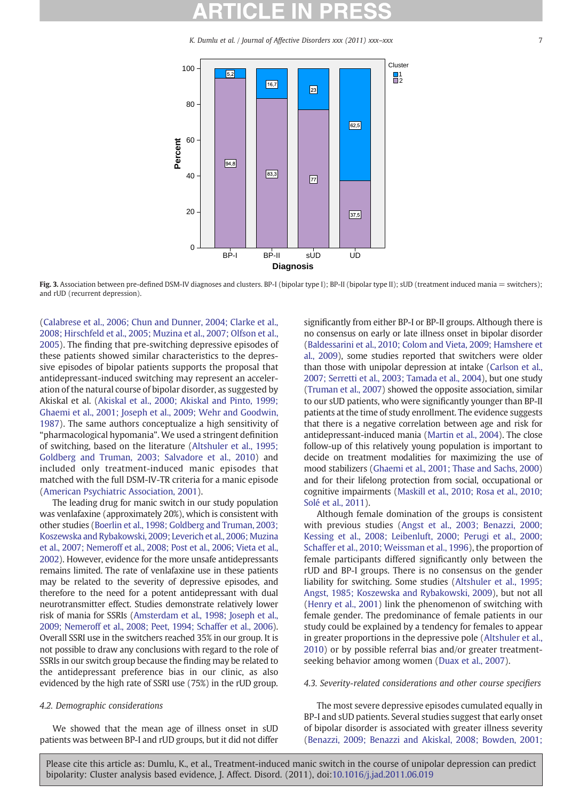K. Dumlu et al. / Journal of Affective Disorders xxx (2011) xxx–xxx 7

<span id="page-6-0"></span>

Fig. 3. Association between pre-defined DSM-IV diagnoses and clusters. BP-I (bipolar type I); BP-II (bipolar type II); sUD (treatment induced mania = switchers); and rUD (recurrent depression).

[\(Calabrese et al., 2006; Chun and Dunner, 2004; Clarke et al.,](#page-8-0) [2008; Hirschfeld et al., 2005; Muzina et al., 2007; Olfson et al.,](#page-8-0) [2005](#page-8-0)). The finding that pre-switching depressive episodes of these patients showed similar characteristics to the depressive episodes of bipolar patients supports the proposal that antidepressant-induced switching may represent an acceleration of the natural course of bipolar disorder, as suggested by Akiskal et al. ([Akiskal et al., 2000; Akiskal and Pinto, 1999;](#page-8-0) [Ghaemi et al., 2001; Joseph et al., 2009; Wehr and Goodwin,](#page-8-0) [1987](#page-8-0)). The same authors conceptualize a high sensitivity of "pharmacological hypomania". We used a stringent definition of switching, based on the literature [\(Altshuler et al., 1995;](#page-8-0) [Goldberg and Truman, 2003; Salvadore et al., 2010\)](#page-8-0) and included only treatment-induced manic episodes that matched with the full DSM-IV-TR criteria for a manic episode [\(American Psychiatric Association, 2001\)](#page-8-0).

The leading drug for manic switch in our study population was venlafaxine (approximately 20%), which is consistent with other studies ([Boerlin et al., 1998; Goldberg and Truman, 2003;](#page-8-0) [Koszewska and Rybakowski, 2009; Leverich et al., 2006; Muzina](#page-8-0) [et al., 2007; Nemeroff et al., 2008; Post et al., 2006; Vieta et al.,](#page-8-0) [2002\)](#page-8-0). However, evidence for the more unsafe antidepressants remains limited. The rate of venlafaxine use in these patients may be related to the severity of depressive episodes, and therefore to the need for a potent antidepressant with dual neurotransmitter effect. Studies demonstrate relatively lower risk of mania for SSRIs [\(Amsterdam et al., 1998; Joseph et al.,](#page-8-0) [2009; Nemeroff et al., 2008; Peet, 1994; Schaffer et al., 2006\)](#page-8-0). Overall SSRI use in the switchers reached 35% in our group. It is not possible to draw any conclusions with regard to the role of SSRIs in our switch group because the finding may be related to the antidepressant preference bias in our clinic, as also evidenced by the high rate of SSRI use (75%) in the rUD group.

## 4.2. Demographic considerations

We showed that the mean age of illness onset in sUD patients was between BP-I and rUD groups, but it did not differ

significantly from either BP-I or BP-II groups. Although there is no consensus on early or late illness onset in bipolar disorder [\(Baldessarini et al., 2010; Colom and Vieta, 2009; Hamshere et](#page-8-0) [al., 2009](#page-8-0)), some studies reported that switchers were older than those with unipolar depression at intake [\(Carlson et al.,](#page-9-0) [2007; Serretti et al., 2003; Tamada et al., 2004](#page-9-0)), but one study [\(Truman et al., 2007\)](#page-10-0) showed the opposite association, similar to our sUD patients, who were significantly younger than BP-II patients at the time of study enrollment. The evidence suggests that there is a negative correlation between age and risk for antidepressant-induced mania [\(Martin et al., 2004](#page-9-0)). The close follow-up of this relatively young population is important to decide on treatment modalities for maximizing the use of mood stabilizers [\(Ghaemi et al., 2001; Thase and Sachs, 2000\)](#page-9-0) and for their lifelong protection from social, occupational or cognitive impairments ([Maskill et al., 2010; Rosa et al., 2010;](#page-9-0) [Solé et al., 2011](#page-9-0)).

Although female domination of the groups is consistent with previous studies [\(Angst et al., 2003; Benazzi, 2000;](#page-8-0) [Kessing et al., 2008; Leibenluft, 2000; Perugi et al., 2000;](#page-8-0) [Schaffer et al., 2010; Weissman et al., 1996](#page-8-0)), the proportion of female participants differed significantly only between the rUD and BP-I groups. There is no consensus on the gender liability for switching. Some studies [\(Altshuler et al., 1995;](#page-8-0) [Angst, 1985; Koszewska and Rybakowski, 2009](#page-8-0)), but not all (Henry [et al., 2001\)](#page-9-0) link the phenomenon of switching with female gender. The predominance of female patients in our study could be explained by a tendency for females to appear in greater proportions in the depressive pole ([Altshuler et al.,](#page-8-0) [2010](#page-8-0)) or by possible referral bias and/or greater treatmentseeking behavior among women ([Duax et al., 2007](#page-9-0)).

#### 4.3. Severity-related considerations and other course specifiers

The most severe depressive episodes cumulated equally in BP-I and sUD patients. Several studies suggest that early onset of bipolar disorder is associated with greater illness severity ([Benazzi, 2009; Benazzi and Akiskal, 2008; Bowden, 2001;](#page-8-0)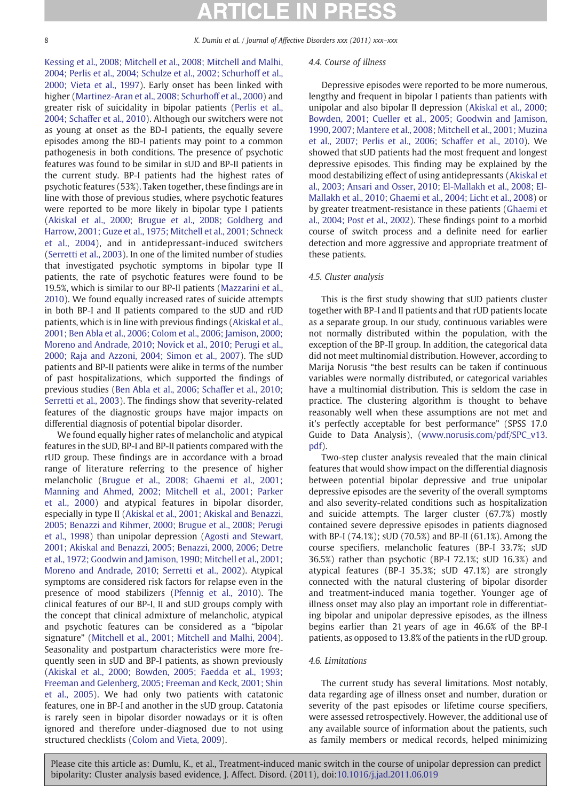8 K. Dumlu et al. / Journal of Affective Disorders xxx (2011) xxx-xxx

[Kessing et al., 2008; Mitchell et al., 2008; Mitchell and Malhi,](#page-8-0) [2004; Perlis et al., 2004; Schulze et al., 2002; Schurhoff et al.,](#page-8-0) [2000; Vieta et al., 1997](#page-8-0)). Early onset has been linked with higher [\(Martinez-Aran et al., 2008; Schurhoff et al., 2000\)](#page-9-0) and greater risk of suicidality in bipolar patients ([Perlis et al.,](#page-9-0) [2004; Schaffer et al., 2010](#page-9-0)). Although our switchers were not as young at onset as the BD-I patients, the equally severe episodes among the BD-I patients may point to a common pathogenesis in both conditions. The presence of psychotic features was found to be similar in sUD and BP-II patients in the current study. BP-I patients had the highest rates of psychotic features (53%). Taken together, these findings are in line with those of previous studies, where psychotic features were reported to be more likely in bipolar type I patients ([Akiskal et al., 2000; Brugue et al., 2008; Goldberg and](#page-8-0) [Harrow, 2001; Guze et al., 1975; Mitchell et al., 2001; Schneck](#page-8-0) [et al., 2004\)](#page-8-0), and in antidepressant-induced switchers ([Serretti et al., 2003](#page-10-0)). In one of the limited number of studies that investigated psychotic symptoms in bipolar type II patients, the rate of psychotic features were found to be 19.5%, which is similar to our BP-II patients ([Mazzarini et al.,](#page-9-0) [2010](#page-9-0)). We found equally increased rates of suicide attempts in both BP-I and II patients compared to the sUD and rUD patients, which is in line with previous findings ([Akiskal et al.,](#page-8-0) [2001; Ben Abla et al., 2006; Colom et al., 2006; Jamison, 2000;](#page-8-0) [Moreno and Andrade, 2010; Novick et al., 2010; Perugi et al.,](#page-8-0) [2000; Raja and Azzoni, 2004; Simon et al., 2007\)](#page-8-0). The sUD patients and BP-II patients were alike in terms of the number of past hospitalizations, which supported the findings of previous studies ([Ben Abla et al., 2006; Schaffer et al., 2010;](#page-8-0) [Serretti et al., 2003\)](#page-8-0). The findings show that severity-related features of the diagnostic groups have major impacts on differential diagnosis of potential bipolar disorder.

We found equally higher rates of melancholic and atypical features in the sUD, BP-I and BP-II patients compared with the rUD group. These findings are in accordance with a broad range of literature referring to the presence of higher melancholic ([Brugue et al., 2008; Ghaemi et al., 2001;](#page-8-0) [Manning and Ahmed, 2002; Mitchell et al., 2001; Parker](#page-8-0) [et al., 2000\)](#page-8-0) and atypical features in bipolar disorder, especially in type II ([Akiskal et al., 2001; Akiskal and Benazzi,](#page-8-0) [2005; Benazzi and Rihmer, 2000; Brugue et al., 2008; Perugi](#page-8-0) [et al., 1998](#page-8-0)) than unipolar depression ([Agosti and Stewart,](#page-8-0) [2001; Akiskal and Benazzi, 2005; Benazzi, 2000, 2006; Detre](#page-8-0) [et al., 1972; Goodwin and Jamison, 1990; Mitchell et al., 2001;](#page-8-0) [Moreno and Andrade, 2010; Serretti et al., 2002](#page-8-0)). Atypical symptoms are considered risk factors for relapse even in the presence of mood stabilizers [\(Pfennig et al., 2010\)](#page-10-0). The clinical features of our BP-I, II and sUD groups comply with the concept that clinical admixture of melancholic, atypical and psychotic features can be considered as a "bipolar signature" ([Mitchell et al., 2001; Mitchell and Malhi, 2004](#page-9-0)). Seasonality and postpartum characteristics were more frequently seen in sUD and BP-I patients, as shown previously ([Akiskal et al., 2000; Bowden, 2005; Faedda et al., 1993;](#page-8-0) [Freeman and Gelenberg, 2005; Freeman and Keck, 2001; Shin](#page-8-0) [et al., 2005\)](#page-8-0). We had only two patients with catatonic features, one in BP-I and another in the sUD group. Catatonia is rarely seen in bipolar disorder nowadays or it is often ignored and therefore under-diagnosed due to not using structured checklists (Colom [and Vieta, 2009](#page-9-0)).

#### 4.4. Course of illness

Depressive episodes were reported to be more numerous, lengthy and frequent in bipolar I patients than patients with unipolar and also bipolar II depression ([Akiskal et al., 2000;](#page-8-0) [Bowden, 2001; Cueller et al., 2005; Goodwin and Jamison,](#page-8-0) [1990, 2007; Mantere et al., 2008; Mitchell et al., 2001; Muzina](#page-8-0) [et al., 2007; Perlis et al., 2006; Schaffer et al., 2010\)](#page-8-0). We showed that sUD patients had the most frequent and longest depressive episodes. This finding may be explained by the mood destabilizing effect of using antidepressants [\(Akiskal et](#page-8-0) [al., 2003; Ansari and Osser, 2010; El-Mallakh et al., 2008; El-](#page-8-0)[Mallakh et al., 2010; Ghaemi et al., 2004; Licht et al., 2008](#page-8-0)) or by greater treatment-resistance in these patients [\(Ghaemi et](#page-9-0) [al., 2004; Post et al., 2002](#page-9-0)). These findings point to a morbid course of switch process and a definite need for earlier detection and more aggressive and appropriate treatment of these patients.

#### 4.5. Cluster analysis

This is the first study showing that sUD patients cluster together with BP-I and II patients and that rUD patients locate as a separate group. In our study, continuous variables were not normally distributed within the population, with the exception of the BP-II group. In addition, the categorical data did not meet multinomial distribution. However, according to Marija Norusis "the best results can be taken if continuous variables were normally distributed, or categorical variables have a multinomial distribution. This is seldom the case in practice. The clustering algorithm is thought to behave reasonably well when these assumptions are not met and it's perfectly acceptable for best performance" (SPSS 17.0 Guide to Data Analysis), ([www.norusis.com/pdf/SPC\\_v13.](http://www.norusis.com/pdf/SPC_v13.pdf) [pdf](http://www.norusis.com/pdf/SPC_v13.pdf)).

Two-step cluster analysis revealed that the main clinical features that would show impact on the differential diagnosis between potential bipolar depressive and true unipolar depressive episodes are the severity of the overall symptoms and also severity-related conditions such as hospitalization and suicide attempts. The larger cluster (67.7%) mostly contained severe depressive episodes in patients diagnosed with BP-I (74.1%); sUD (70.5%) and BP-II (61.1%). Among the course specifiers, melancholic features (BP-I 33.7%; sUD 36.5%) rather than psychotic (BP-I 72.1%; sUD 16.3%) and atypical features (BP-I 35.3%; sUD 47.1%) are strongly connected with the natural clustering of bipolar disorder and treatment-induced mania together. Younger age of illness onset may also play an important role in differentiating bipolar and unipolar depressive episodes, as the illness begins earlier than 21 years of age in 46.6% of the BP-I patients, as opposed to 13.8% of the patients in the rUD group.

#### 4.6. Limitations

The current study has several limitations. Most notably, data regarding age of illness onset and number, duration or severity of the past episodes or lifetime course specifiers, were assessed retrospectively. However, the additional use of any available source of information about the patients, such as family members or medical records, helped minimizing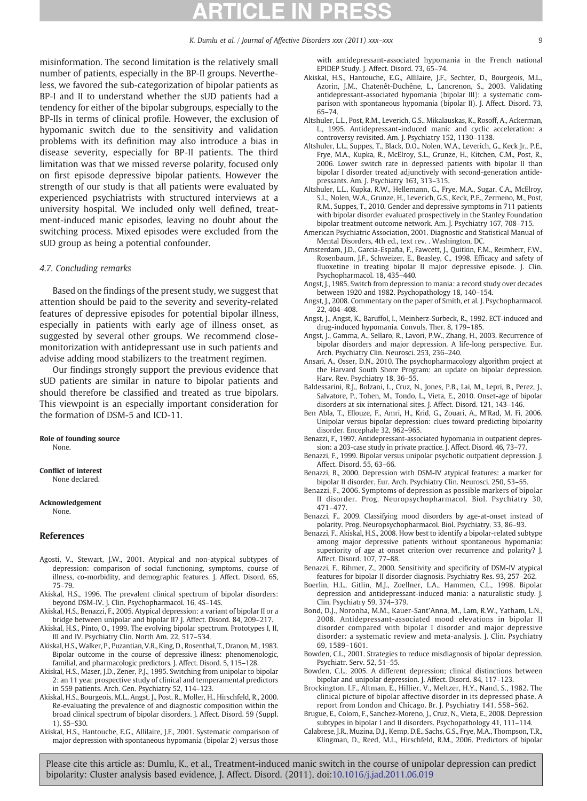# CI F

K. Dumlu et al. / Journal of Affective Disorders xxx (2011) xxx-xxx

<span id="page-8-0"></span>misinformation. The second limitation is the relatively small number of patients, especially in the BP-II groups. Nevertheless, we favored the sub-categorization of bipolar patients as BP-I and II to understand whether the sUD patients had a tendency for either of the bipolar subgroups, especially to the BP-IIs in terms of clinical profile. However, the exclusion of hypomanic switch due to the sensitivity and validation problems with its definition may also introduce a bias in disease severity, especially for BP-II patients. The third limitation was that we missed reverse polarity, focused only on first episode depressive bipolar patients. However the strength of our study is that all patients were evaluated by experienced psychiatrists with structured interviews at a university hospital. We included only well defined, treatment-induced manic episodes, leaving no doubt about the switching process. Mixed episodes were excluded from the sUD group as being a potential confounder.

#### 4.7. Concluding remarks

Based on the findings of the present study, we suggest that attention should be paid to the severity and severity-related features of depressive episodes for potential bipolar illness, especially in patients with early age of illness onset, as suggested by several other groups. We recommend closemonitorization with antidepressant use in such patients and advise adding mood stabilizers to the treatment regimen.

Our findings strongly support the previous evidence that sUD patients are similar in nature to bipolar patients and should therefore be classified and treated as true bipolars. This viewpoint is an especially important consideration for the formation of DSM-5 and ICD-11.

Role of founding source

None.

Conflict of interest None declared.

Acknowledgement

None.

#### References

- Agosti, V., Stewart, J.W., 2001. Atypical and non-atypical subtypes of depression: comparison of social functioning, symptoms, course of illness, co-morbidity, and demographic features. J. Affect. Disord. 65, 75–79.
- Akiskal, H.S., 1996. The prevalent clinical spectrum of bipolar disorders: beyond DSM-IV. J. Clin. Psychopharmacol. 16, 4S–14S.
- Akiskal, H.S., Benazzi, F., 2005. Atypical depression: a variant of bipolar II or a bridge between unipolar and bipolar II? J. Affect. Disord. 84, 209–217.
- Akiskal, H.S., Pinto, O., 1999. The evolving bipolar spectrum. Prototypes I, II, III and IV. Psychiatry Clin. North Am. 22, 517–534.
- Akiskal, H.S.,Walker, P., Puzantian, V.R., King, D., Rosenthal, T., Dranon,M., 1983. Bipolar outcome in the course of depressive illness: phenomenologic, familial, and pharmacologic predictors. J. Affect. Disord. 5, 115–128.
- Akiskal, H.S., Maser, J.D., Zener, P.J., 1995. Switching from unipolar to bipolar 2: an 11 year prospective study of clinical and temperamental predictors in 559 patients. Arch. Gen. Psychiatry 52, 114–123.
- Akiskal, H.S., Bourgeois, M.L., Angst, J., Post, R., Moller, H., Hirschfeld, R., 2000. Re-evaluating the prevalence of and diagnostic composition within the broad clinical spectrum of bipolar disorders. J. Affect. Disord. 59 (Suppl. 1), S5–S30.
- Akiskal, H.S., Hantouche, E.G., Allilaire, J.F., 2001. Systematic comparison of major depression with spontaneous hypomania (bipolar 2) versus those

with antidepressant-associated hypomania in the French national EPIDEP Study. J. Affect. Disord. 73, 65–74.

- Akiskal, H.S., Hantouche, E.G., Allilaire, J.F., Sechter, D., Bourgeois, M.L., Azorin, J.M., Chatenêt-Duchêne, L., Lancrenon, S., 2003. Validating antidepressant-associated hypomania (bipolar III): a systematic comparison with spontaneous hypomania (bipolar II). J. Affect. Disord. 73, 65–74.
- Altshuler, L.L., Post, R.M., Leverich, G.S., Mikalauskas, K., Rosoff, A., Ackerman, L., 1995. Antidepressant-induced manic and cyclic acceleration: a controversy revisited. Am. J. Psychiatry 152, 1130–1138.
- Altshuler, L.L., Suppes, T., Black, D.O., Nolen, W.A., Leverich, G., Keck Jr., P.E., Frye, M.A., Kupka, R., McElroy, S.L., Grunze, H., Kitchen, C.M., Post, R., 2006. Lower switch rate in depressed patients with bipolar II than bipolar I disorder treated adjunctively with second-generation antidepressants. Am. J. Psychiatry 163, 313–315.
- Altshuler, L.L., Kupka, R.W., Hellemann, G., Frye, M.A., Sugar, C.A., McElroy, S.L., Nolen, W.A., Grunze, H., Leverich, G.S., Keck, P.E., Zermeno, M., Post, R.M., Suppes, T., 2010. Gender and depressive symptoms in 711 patients with bipolar disorder evaluated prospectively in the Stanley Foundation bipolar treatment outcome network. Am. J. Psychiatry 167, 708–715.
- American Psychiatric Association, 2001. Diagnostic and Statistical Manual of Mental Disorders, 4th ed., text rev. . Washington, DC.
- Amsterdam, J.D., Garcia-España, F., Fawcett, J., Quitkin, F.M., Reimherr, F.W., Rosenbaum, J.F., Schweizer, E., Beasley, C., 1998. Efficacy and safety of fluoxetine in treating bipolar II major depressive episode. J. Clin. Psychopharmacol. 18, 435–440.
- Angst, J., 1985. Switch from depression to mania: a record study over decades between 1920 and 1982. Psychopathology 18, 140–154.
- Angst, J., 2008. Commentary on the paper of Smith, et al. J. Psychopharmacol. 22, 404–408.
- Angst, J., Angst, K., Baruffol, I., Meinherz-Surbeck, R., 1992. ECT-induced and drug-induced hypomania. Convuls. Ther. 8, 179–185.
- Angst, J., Gamma, A., Sellaro, R., Lavori, P.W., Zhang, H., 2003. Recurrence of bipolar disorders and major depression. A life-long perspective. Eur. Arch. Psychiatry Clin. Neurosci. 253, 236–240.
- Ansari, A., Osser, D.N., 2010. The psychopharmacology algorithm project at the Harvard South Shore Program: an update on bipolar depression. Harv. Rev. Psychiatry 18, 36–55.
- Baldessarini, R.J., Bolzani, L., Cruz, N., Jones, P.B., Lai, M., Lepri, B., Perez, J., Salvatore, P., Tohen, M., Tondo, L., Vieta, E., 2010. Onset-age of bipolar disorders at six international sites. J. Affect. Disord. 121, 143–146.
- Ben Abla, T., Ellouze, F., Amri, H., Krid, G., Zouari, A., M'Rad, M. Fi, 2006. Unipolar versus bipolar depression: clues toward predicting bipolarity disorder. Encephale 32, 962–965.
- Benazzi, F., 1997. Antidepressant-associated hypomania in outpatient depression: a 203-case study in private practice. J. Affect. Disord. 46, 73–77.
- Benazzi, F., 1999. Bipolar versus unipolar psychotic outpatient depression. J. Affect. Disord. 55, 63–66.
- Benazzi, B., 2000. Depression with DSM-IV atypical features: a marker for bipolar II disorder. Eur. Arch. Psychiatry Clin. Neurosci. 250, 53–55.
- Benazzi, F., 2006. Symptoms of depression as possible markers of bipolar II disorder. Prog. Neuropsychopharmacol. Biol. Psychiatry 30, 471–477.
- Benazzi, F., 2009. Classifying mood disorders by age-at-onset instead of polarity. Prog. Neuropsychopharmacol. Biol. Psychiatry. 33, 86–93.
- Benazzi, F., Akiskal, H.S., 2008. How best to identify a bipolar-related subtype among major depressive patients without spontaneous hypomania: superiority of age at onset criterion over recurrence and polarity? J. Affect. Disord. 107, 77–88.
- Benazzi, F., Rihmer, Z., 2000. Sensitivity and specificity of DSM-IV atypical features for bipolar II disorder diagnosis. Psychiatry Res. 93, 257–262.
- Boerlin, H.L., Gitlin, M.J., Zoellner, L.A., Hammen, C.L., 1998. Bipolar depression and antidepressant-induced mania: a naturalistic study. J. Clin. Psychiatry 59, 374–379.
- Bond, D.J., Noronha, M.M., Kauer-Sant'Anna, M., Lam, R.W., Yatham, L.N., 2008. Antidepressant-associated mood elevations in bipolar II disorder compared with bipolar I disorder and major depressive disorder: a systematic review and meta-analysis. J. Clin. Psychiatry 69, 1589–1601.
- Bowden, C.L., 2001. Strategies to reduce misdiagnosis of bipolar depression. Psychiatr. Serv. 52, 51–55.
- Bowden, C.L., 2005. A different depression; clinical distinctions between bipolar and unipolar depression. J. Affect. Disord. 84, 117–123.
- Brockington, I.F., Altman, E., Hillier, V., Meltzer, H.Y., Nand, S., 1982. The clinical picture of bipolar affective disorder in its depressed phase. A report from London and Chicago. Br. J. Psychiatry 141, 558–562.
- Brugue, E., Colom, F., Sanchez-Moreno, J., Cruz, N., Vieta, E., 2008. Depression subtypes in bipolar I and II disorders. Psychopathology 41, 111–114.
- Calabrese, J.R., Muzina, D.J., Kemp, D.E., Sachs, G.S., Frye, M.A., Thompson, T.R., Klingman, D., Reed, M.L., Hirschfeld, R.M., 2006. Predictors of bipolar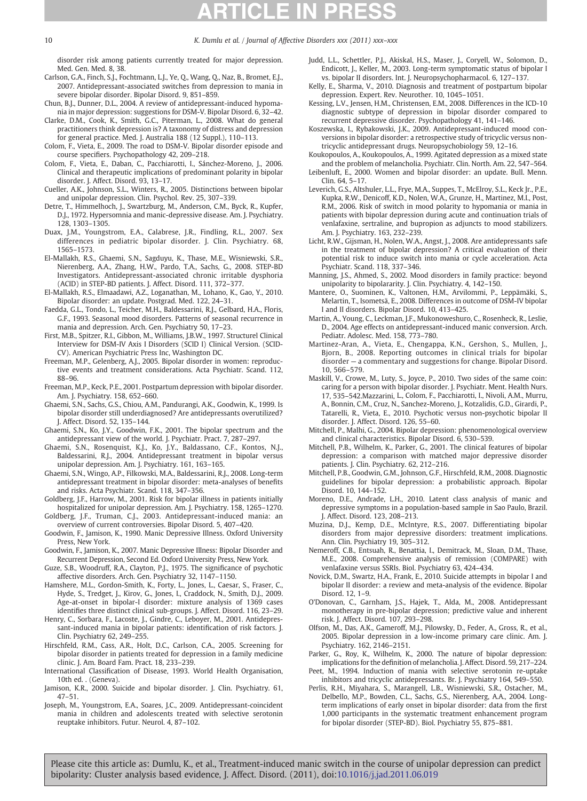<span id="page-9-0"></span>10 K. Dumlu et al. / Journal of Affective Disorders xxx (2011) xxx-xxx

disorder risk among patients currently treated for major depression. Med. Gen. Med. 8, 38.

- Carlson, G.A., Finch, S.J., Fochtmann, L.J., Ye, Q., Wang, Q., Naz, B., Bromet, E.J., 2007. Antidepressant-associated switches from depression to mania in severe bipolar disorder. Bipolar Disord. 9, 851–859.
- Chun, B.J., Dunner, D.L., 2004. A review of antidepressant-induced hypomania in major depression: suggestions for DSM-V. Bipolar Disord. 6, 32–42.
- Clarke, D.M., Cook, K., Smith, G.C., Piterman, L., 2008. What do general practitioners think depression is? A taxonomy of distress and depression for general practice. Med. J. Australia 188 (12 Suppl.), 110–113.
- Colom, F., Vieta, E., 2009. The road to DSM-V. Bipolar disorder episode and course specifiers. Psychopathology 42, 209–218.
- Colom, F., Vieta, E., Daban, C., Pacchiarotti, I., Sánchez-Moreno, J., 2006. Clinical and therapeutic implications of predominant polarity in bipolar disorder. J. Affect. Disord. 93, 13–17.
- Cueller, A.K., Johnson, S.L., Winters, R., 2005. Distinctions between bipolar and unipolar depression. Clin. Psychol. Rev. 25, 307–339.
- Detre, T., Himmelhoch, J., Swartzburg, M., Anderson, C.M., Byck, R., Kupfer, D.J., 1972. Hypersomnia and manic-depressive disease. Am. J. Psychiatry. 128, 1303–1305.
- Duax, J.M., Youngstrom, E.A., Calabrese, J.R., Findling, R.L., 2007. Sex differences in pediatric bipolar disorder. J. Clin. Psychiatry. 68, 1565–1573.
- El-Mallakh, R.S., Ghaemi, S.N., Sagduyu, K., Thase, M.E., Wisniewski, S.R., Nierenberg, A.A., Zhang, H.W., Pardo, T.A., Sachs, G., 2008. STEP-BD Investigators. Antidepressant-associated chronic irritable dysphoria (ACID) in STEP-BD patients. J. Affect. Disord. 111, 372–377.
- El-Mallakh, R.S., Elmaadawi, A.Z., Loganathan, M., Lohano, K., Gao, Y., 2010. Bipolar disorder: an update. Postgrad. Med. 122, 24–31.
- Faedda, G.L., Tondo, L., Teicher, M.H., Baldessarini, R.J., Gelbard, H.A., Floris, G.F., 1993. Seasonal mood disorders. Patterns of seasonal recurrence in mania and depression. Arch. Gen. Psychiatry 50, 17–23.
- First, M.B., Spitzer, R.I., Gibbon, M., Williams, J.B.W., 1997. Structurel Clinical Interview for DSM-IV Axis I Disorders (SCID I) Clinical Version. (SCID-CV). American Psychiatric Press Inc, Washington DC.
- Freeman, M.P., Gelenberg, A.J., 2005. Bipolar disorder in women: reproductive events and treatment considerations. Acta Psychiatr. Scand. 112, 88–96.
- Freeman, M.P., Keck, P.E., 2001. Postpartum depression with bipolar disorder. Am. J. Psychiatry. 158, 652–660.
- Ghaemi, S.N., Sachs, G.S., Chiou, A.M., Pandurangi, A.K., Goodwin, K., 1999. Is bipolar disorder still underdiagnosed? Are antidepressants overutilized? J. Affect. Disord. 52, 135–144.
- Ghaemi, S.N., Ko, J.Y., Goodwin, F.K., 2001. The bipolar spectrum and the antidepressant view of the world. J. Psychiatr. Pract. 7, 287–297.
- Ghaemi, S.N., Rosenquist, K.J., Ko, J.Y., Baldassano, C.F., Kontos, N.J., Baldessarini, R.J., 2004. Antidepressant treatment in bipolar versus unipolar depression. Am. J. Psychiatry. 161, 163–165.
- Ghaemi, S.N., Wingo, A.P., Filkowski, M.A., Baldessarini, R.J., 2008. Long-term antidepressant treatment in bipolar disorder: meta-analyses of benefits and risks. Acta Psychiatr. Scand. 118, 347–356.
- Goldberg, J.F., Harrow, M., 2001. Risk for bipolar illness in patients initially hospitalized for unipolar depression. Am. J. Psychiatry. 158, 1265–1270.
- Goldberg, J.F., Truman, C.J., 2003. Antidepressant-induced mania: an overview of current controversies. Bipolar Disord. 5, 407–420.
- Goodwin, F., Jamison, K., 1990. Manic Depressive Illness. Oxford University Press, New York.
- Goodwin, F., Jamison, K., 2007. Manic Depressive Illness: Bipolar Disorder and Recurrent Depression, Second Ed. Oxford University Press, New York.
- Guze, S.B., Woodruff, R.A., Clayton, P.J., 1975. The significance of psychotic affective disorders. Arch. Gen. Psychiatry 32, 1147–1150.
- Hamshere, M.L., Gordon-Smith, K., Forty, L., Jones, L., Caesar, S., Fraser, C., Hyde, S., Tredget, J., Kirov, G., Jones, I., Craddock, N., Smith, D.J., 2009. Age-at-onset in bipolar-I disorder: mixture analysis of 1369 cases identifies three distinct clinical sub-groups. J. Affect. Disord. 116, 23–29.
- Henry, C., Sorbara, F., Lacoste, J., Gindre, C., Leboyer, M., 2001. Antidepressant-induced mania in bipolar patients: identification of risk factors. J. Clin. Psychiatry 62, 249–255.
- Hirschfeld, R.M., Cass, A.R., Holt, D.C., Carlson, C.A., 2005. Screening for bipolar disorder in patients treated for depression in a family medicine clinic. J. Am. Board Fam. Pract. 18, 233–239.
- International Classification of Disease, 1993. World Health Organisation, 10th ed. . (Geneva).
- Jamison, K.R., 2000. Suicide and bipolar disorder. J. Clin. Psychiatry. 61, 47–51.
- Joseph, M., Youngstrom, E.A., Soares, J.C., 2009. Antidepressant-coincident mania in children and adolescents treated with selective serotonin reuptake inhibitors. Futur. Neurol. 4, 87–102.
- Judd, L.L., Schettler, P.J., Akiskal, H.S., Maser, J., Coryell, W., Solomon, D., Endicott, J., Keller, M., 2003. Long-term symptomatic status of bipolar I vs. bipolar II disorders. Int. J. Neuropsychopharmacol. 6, 127–137.
- Kelly, E., Sharma, V., 2010. Diagnosis and treatment of postpartum bipolar depression. Expert. Rev. Neurother. 10, 1045–1051.
- Kessing, L.V., Jensen, H.M., Christensen, E.M., 2008. Differences in the ICD-10 diagnostic subtype of depression in bipolar disorder compared to recurrent depressive disorder. Psychopathology 41, 141–146.
- Koszewska, I., Rybakowski, J.K., 2009. Antidepressant-induced mood conversions in bipolar disorder: a retrospective study of tricyclic versus nontricyclic antidepressant drugs. Neuropsychobiology 59, 12–16.
- Koukopoulos, A., Koukopoulos, A., 1999. Agitated depression as a mixed state and the problem of melancholia. Psychiatr. Clin. North. Am. 22, 547–564.
- Leibenluft, E., 2000. Women and bipolar disorder: an update. Bull. Menn. Clin. 64, 5–17.
- Leverich, G.S., Altshuler, L.L., Frye, M.A., Suppes, T., McElroy, S.L., Keck Jr., P.E., Kupka, R.W., Denicoff, K.D., Nolen, W.A., Grunze, H., Martinez, M.I., Post, R.M., 2006. Risk of switch in mood polarity to hypomania or mania in patients with bipolar depression during acute and continuation trials of venlafaxine, sertraline, and bupropion as adjuncts to mood stabilizers. Am. J. Psychiatry. 163, 232–239.
- Licht, R.W., Gijsman, H., Nolen, W.A., Angst, J., 2008. Are antidepressants safe in the treatment of bipolar depression? A critical evaluation of their potential risk to induce switch into mania or cycle acceleration. Acta Psychiatr. Scand. 118, 337–346.
- Manning, J.S., Ahmed, S., 2002. Mood disorders in family practice: beyond unipolarity to bipolararity. J. Clin. Psychiatry. 4, 142–150.
- Mantere, O., Suominen, K., Valtonen, H.M., Arvilommi, P., Leppämäki, S., Melartin, T., Isometsä, E., 2008. Differences in outcome of DSM-IV bipolar I and II disorders. Bipolar Disord. 10, 413–425.
- Martin, A., Young, C., Leckman, J.F., Mukonoweshuro, C., Rosenheck, R., Leslie, D., 2004. Age effects on antidepressant-induced manic conversion. Arch. Pediatr. Adolesc. Med. 158, 773–780.
- Martinez-Aran, A., Vieta, E., Chengappa, K.N., Gershon, S., Mullen, J., Bjorn, B., 2008. Reporting outcomes in clinical trials for bipolar disorder — a commentary and suggestions for change. Bipolar Disord. 10, 566–579.
- Maskill, V., Crowe, M., Luty, S., Joyce, P., 2010. Two sides of the same coin: caring for a person with bipolar disorder. J. Psychiatr. Ment. Health Nurs. 17, 535–542.Mazzarini, L., Colom, F., Pacchiarotti, I., Nivoli, A.M., Murru, A., Bonnin, C.M., Cruz, N., Sanchez-Moreno, J., Kotzalidis, G.D., Girardi, P., Tatarelli, R., Vieta, E., 2010. Psychotic versus non-psychotic bipolar II disorder. J. Affect. Disord. 126, 55–60.
- Mitchell, P., Malhi, G., 2004. Bipolar depression: phenomenological overview and clinical characteristics. Bipolar Disord. 6, 530–539.
- Mitchell, P.B., Wilhelm, K., Parker, G., 2001. The clinical features of bipolar depression: a comparison with matched major depressive disorder patients. J. Clin. Psychiatry. 62, 212–216.
- Mitchell, P.B., Goodwin, G.M., Johnson, G.F., Hirschfeld, R.M., 2008. Diagnostic guidelines for bipolar depression: a probabilistic approach. Bipolar Disord. 10, 144–152.
- Moreno, D.E., Andrade, L.H., 2010. Latent class analysis of manic and depressive symptoms in a population-based sample in Sao Paulo, Brazil. J. Affect. Disord. 123, 208–213.
- Muzina, D.J., Kemp, D.E., McIntyre, R.S., 2007. Differentiating bipolar disorders from major depressive disorders: treatment implications. Ann. Clin. Psychiatry 19, 305–312.
- Nemeroff, C.B., Entsuah, R., Benattia, I., Demitrack, M., Sloan, D.M., Thase, M.E., 2008. Comprehensive analysis of remission (COMPARE) with venlafaxine versus SSRIs. Biol. Psychiatry 63, 424–434.
- Novick, D.M., Swartz, H.A., Frank, E., 2010. Suicide attempts in bipolar I and bipolar II disorder: a review and meta-analysis of the evidence. Bipolar Disord. 12, 1–9.
- O'Donovan, C., Garnham, J.S., Hajek, T., Alda, M., 2008. Antidepressant monotherapy in pre-bipolar depression; predictive value and inherent risk. J. Affect. Disord. 107, 293–298.
- Olfson, M., Das, A.K., Gameroff, M.J., Pilowsky, D., Feder, A., Gross, R., et al., 2005. Bipolar depression in a low-income primary care clinic. Am. J. Psychiatry. 162, 2146–2151.
- Parker, G., Roy, K., Wilhelm, K., 2000. The nature of bipolar depression: implications for the definition of melancholia. J. Affect. Disord. 59, 217–224.
- Peet, M., 1994. Induction of mania with selective serotonin re-uptake inhibitors and tricyclic antidepressants. Br. J. Psychiatry 164, 549–550.
- Perlis, R.H., Miyahara, S., Marangell, L.B., Wisniewski, S.R., Ostacher, M., Delbello, M.P., Bowden, C.L., Sachs, G.S., Nierenberg, A.A., 2004. Longterm implications of early onset in bipolar disorder: data from the first 1,000 participants in the systematic treatment enhancement program for bipolar disorder (STEP-BD). Biol. Psychiatry 55, 875–881.